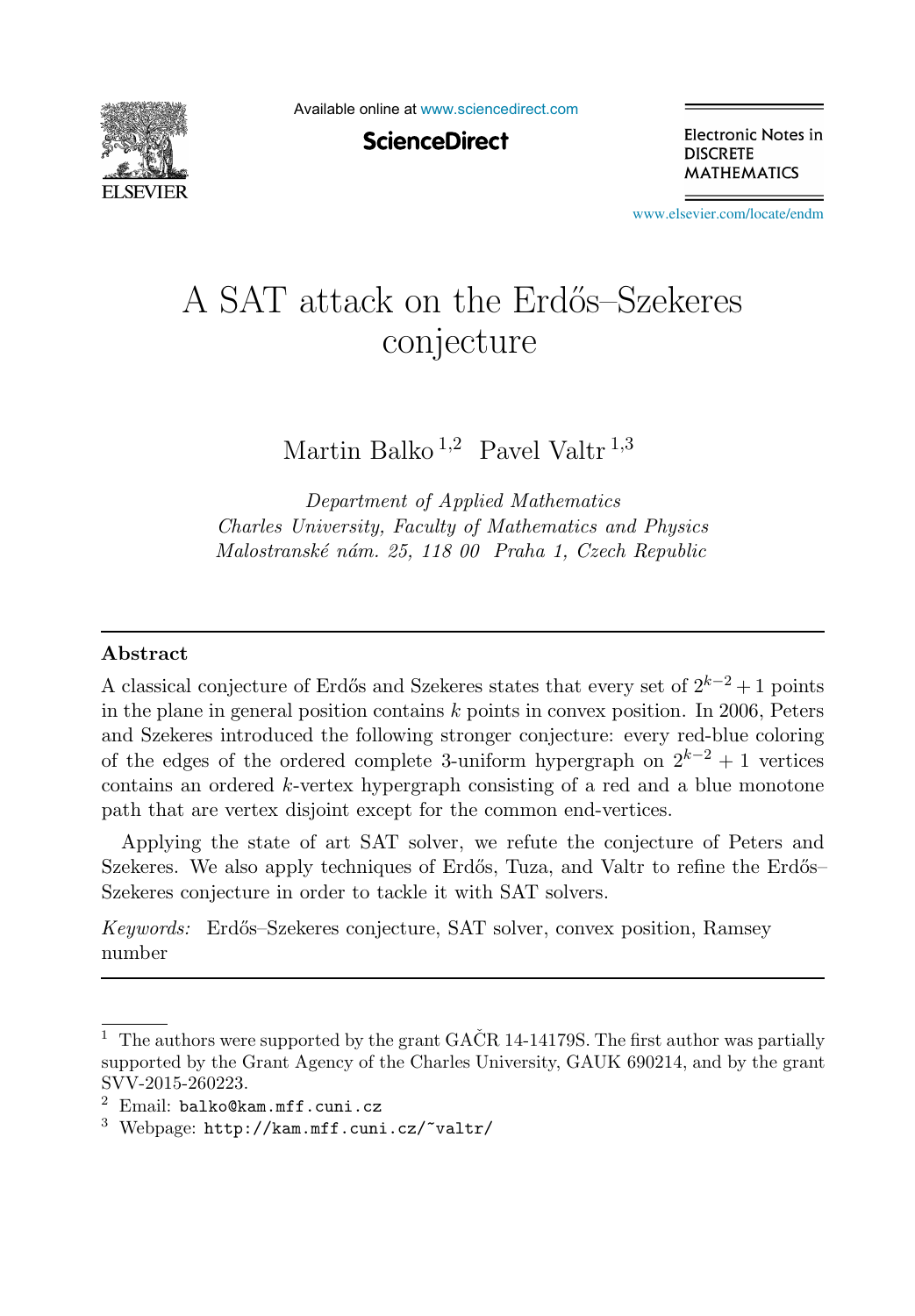

Available online at [www.sciencedirect.com](http://www.sciencedirect.com)

**ScienceDirect** 

Electronic Notes in **DISCRETE MATHEMATICS** 

[www.elsevier.com/locate/endm](http://www.elsevier.com/locate/endm)

# A SAT attack on the Erdős–Szekeres conjecture

Martin Balko  $^{1,2}$  Pavel Valtr<sup>1,3</sup>

Department of Applied Mathematics Charles University, Faculty of Mathematics and Physics Malostranské nám. 25, 118 00 Praha 1, Czech Republic

#### Abstract

A classical conjecture of Erdős and Szekeres states that every set of  $2^{k-2}+1$  points in the plane in general position contains  $k$  points in convex position. In 2006, Peters and Szekeres introduced the following stronger conjecture: every red-blue coloring of the edges of the ordered complete 3-uniform hypergraph on  $2^{k-2} + 1$  vertices contains an ordered k-vertex hypergraph consisting of a red and a blue monotone path that are vertex disjoint except for the common end-vertices.

Applying the state of art SAT solver, we refute the conjecture of Peters and Szekeres. We also apply techniques of Erdős, Tuza, and Valtr to refine the Erdős– Szekeres conjecture in order to tackle it with SAT solvers.

Keywords: Erd˝os–Szekeres conjecture, SAT solver, convex position, Ramsey number

<sup>&</sup>lt;sup>1</sup> The authors were supported by the grant GACR 14-14179S. The first author was partially supported by the Grant Agency of the Charles University, GAUK 690214, and by the grant SVV-2015-260223.

 $2$  Email: balko@kam.mff.cuni.cz

 $3$  Webpage: http://kam.mff.cuni.cz/~valtr/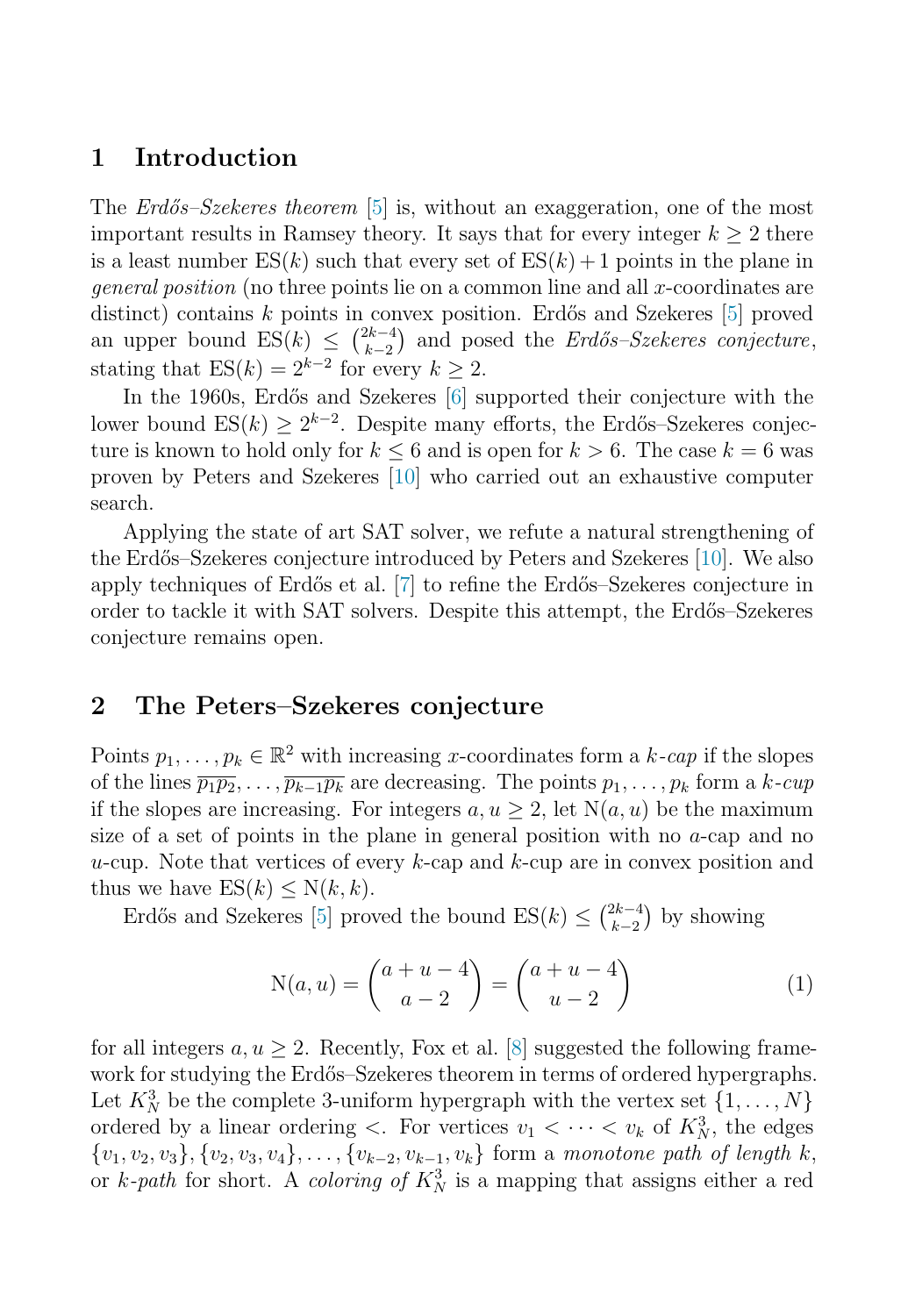## 1 Introduction

The *Erdős–Szekeres theorem* [\[5\]](#page-6-0) is, without an exaggeration, one of the most important results in Ramsey theory. It says that for every integer  $k \geq 2$  there is a least number  $ES(k)$  such that every set of  $ES(k) + 1$  points in the plane in *general position* (no three points lie on a common line and all x-coordinates are distinct) contains  $k$  points in convex position. Erdős and Szekeres [\[5\]](#page-6-0) proved an upper bound  $ES(k) \leq {2k-4 \choose k-2}$  and posed the *Erdős–Szekeres conjecture*, stating that  $ES(k) = 2^{k-2}$  for every  $k \geq 2$ .

In the 1960s, Erdős and Szekeres [\[6\]](#page-6-1) supported their conjecture with the lower bound ES(k) >  $2^{k-2}$ . Despite many efforts, the Erdős–Szekeres conjecture is known to hold only for  $k \leq 6$  and is open for  $k > 6$ . The case  $k = 6$  was proven by Peters and Szekeres [\[10\]](#page-6-2) who carried out an exhaustive computer search.

Applying the state of art SAT solver, we refute a natural strengthening of the Erdős–Szekeres conjecture introduced by Peters and Szekeres [\[10\]](#page-6-2). We also apply techniques of Erd˝os et al. [\[7\]](#page-6-3) to refine the Erd˝os–Szekeres conjecture in order to tackle it with SAT solvers. Despite this attempt, the Erd˝os–Szekeres conjecture remains open.

# 2 The Peters–Szekeres conjecture

Points  $p_1, \ldots, p_k \in \mathbb{R}^2$  with increasing x-coordinates form a k-cap if the slopes of the lines  $\overline{p_1p_2}, \ldots, \overline{p_{k-1}p_k}$  are decreasing. The points  $p_1, \ldots, p_k$  form a k-cup if the slopes are increasing. For integers  $a, u \geq 2$ , let  $N(a, u)$  be the maximum size of a set of points in the plane in general position with no a-cap and no u-cup. Note that vertices of every  $k$ -cap and  $k$ -cup are in convex position and thus we have  $ES(k) \le N(k, k)$ .

Erdős and Szekeres [\[5\]](#page-6-0) proved the bound  $ES(k) \leq {2k-4 \choose k-2}$  by showing

<span id="page-1-0"></span>
$$
N(a, u) = \binom{a + u - 4}{a - 2} = \binom{a + u - 4}{u - 2} \tag{1}
$$

for all integers  $a, u \geq 2$ . Recently, Fox et al. [\[8\]](#page-6-4) suggested the following framework for studying the Erdős–Szekeres theorem in terms of ordered hypergraphs. Let  $K_N^3$  be the complete 3-uniform hypergraph with the vertex set  $\{1, \ldots, N\}$ ordered by a linear ordering  $\lt$ . For vertices  $v_1 \lt \cdots \lt v_k$  of  $K_N^3$ , the edges  ${v_1, v_2, v_3}, {v_2, v_3, v_4}, \ldots, {v_{k-2}, v_{k-1}, v_k}$  form a monotone path of length k, or k-path for short. A coloring of  $K_N^3$  is a mapping that assigns either a red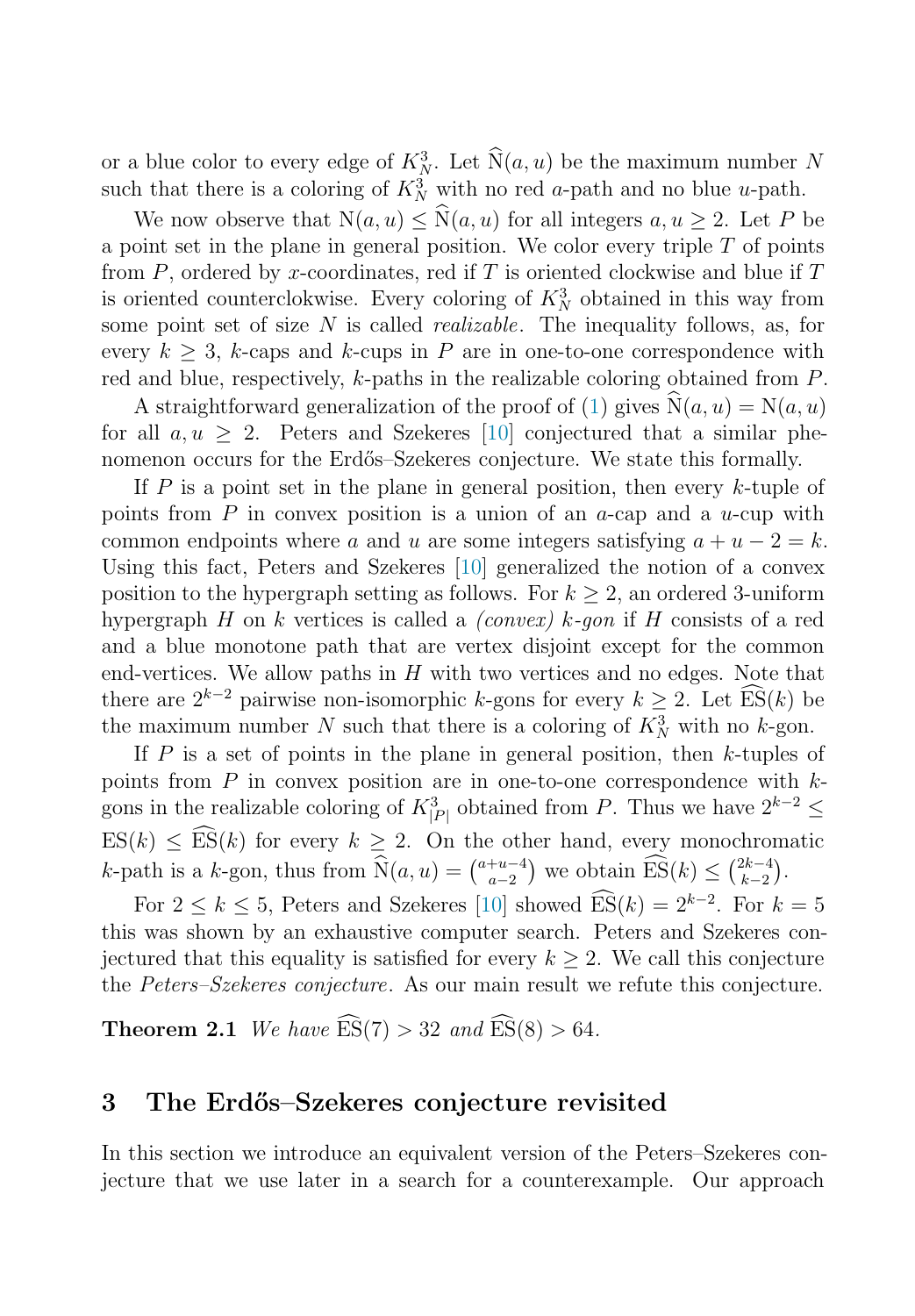or a blue color to every edge of  $K_N^3$ . Let  $\widehat{N}(a, u)$  be the maximum number N such that there is a coloring of  $K_N^3$  with no red a-path and no blue u-path.

We now observe that  $N(a, u) \leq \widehat{N}(a, u)$  for all integers  $a, u \geq 2$ . Let P be a point set in the plane in general position. We color every triple  $T$  of points from  $P$ , ordered by x-coordinates, red if  $T$  is oriented clockwise and blue if  $T$ is oriented counterclokwise. Every coloring of  $K_N^3$  obtained in this way from some point set of size  $N$  is called *realizable*. The inequality follows, as, for every  $k \geq 3$ , k-caps and k-cups in P are in one-to-one correspondence with red and blue, respectively, k-paths in the realizable coloring obtained from P.

A straightforward generalization of the proof of [\(1\)](#page-1-0) gives  $\hat{N}(a, u) = N(a, u)$ for all  $a, u > 2$ . Peters and Szekeres [\[10\]](#page-6-2) conjectured that a similar phenomenon occurs for the Erdős–Szekeres conjecture. We state this formally.

If  $P$  is a point set in the plane in general position, then every  $k$ -tuple of points from  $P$  in convex position is a union of an  $a$ -cap and a  $u$ -cup with common endpoints where a and u are some integers satisfying  $a + u - 2 = k$ . Using this fact, Peters and Szekeres [\[10\]](#page-6-2) generalized the notion of a convex position to the hypergraph setting as follows. For  $k \geq 2$ , an ordered 3-uniform hypergraph H on k vertices is called a *(convex)* k-gon if H consists of a red and a blue monotone path that are vertex disjoint except for the common end-vertices. We allow paths in  $H$  with two vertices and no edges. Note that there are  $2^{k-2}$  pairwise non-isomorphic k-gons for every  $k \geq 2$ . Let  $\widehat{ES}(k)$  be the maximum number N such that there is a coloring of  $K_N^3$  with no k-gon.

If P is a set of points in the plane in general position, then  $k$ -tuples of points from  $P$  in convex position are in one-to-one correspondence with  $k$ gons in the realizable coloring of  $K^3_{|P|}$  obtained from P. Thus we have  $2^{k-2} \leq$  $ES(k) \leq ES(k)$  for every  $k \geq 2$ . On the other hand, every monochromatic k-path is a k-gon, thus from  $\widehat{N}(a, u) = \binom{a + u - 4}{a - 2}$  we obtain  $\widehat{ES}(k) \leq \binom{2k-4}{k-2}$ .

For  $2 \leq k \leq 5$ , Peters and Szekeres [\[10\]](#page-6-2) showed  $\widehat{\text{ES}}(k) = 2^{k-2}$ . For  $k = 5$ this was shown by an exhaustive computer search. Peters and Szekeres conjectured that this equality is satisfied for every  $k \geq 2$ . We call this conjecture the Peters–Szekeres conjecture. As our main result we refute this conjecture.

**Theorem 2.1** We have  $\widehat{ES}(7) > 32$  and  $\widehat{ES}(8) > 64$ .

# 3 The Erd˝os–Szekeres conjecture revisited

In this section we introduce an equivalent version of the Peters–Szekeres conjecture that we use later in a search for a counterexample. Our approach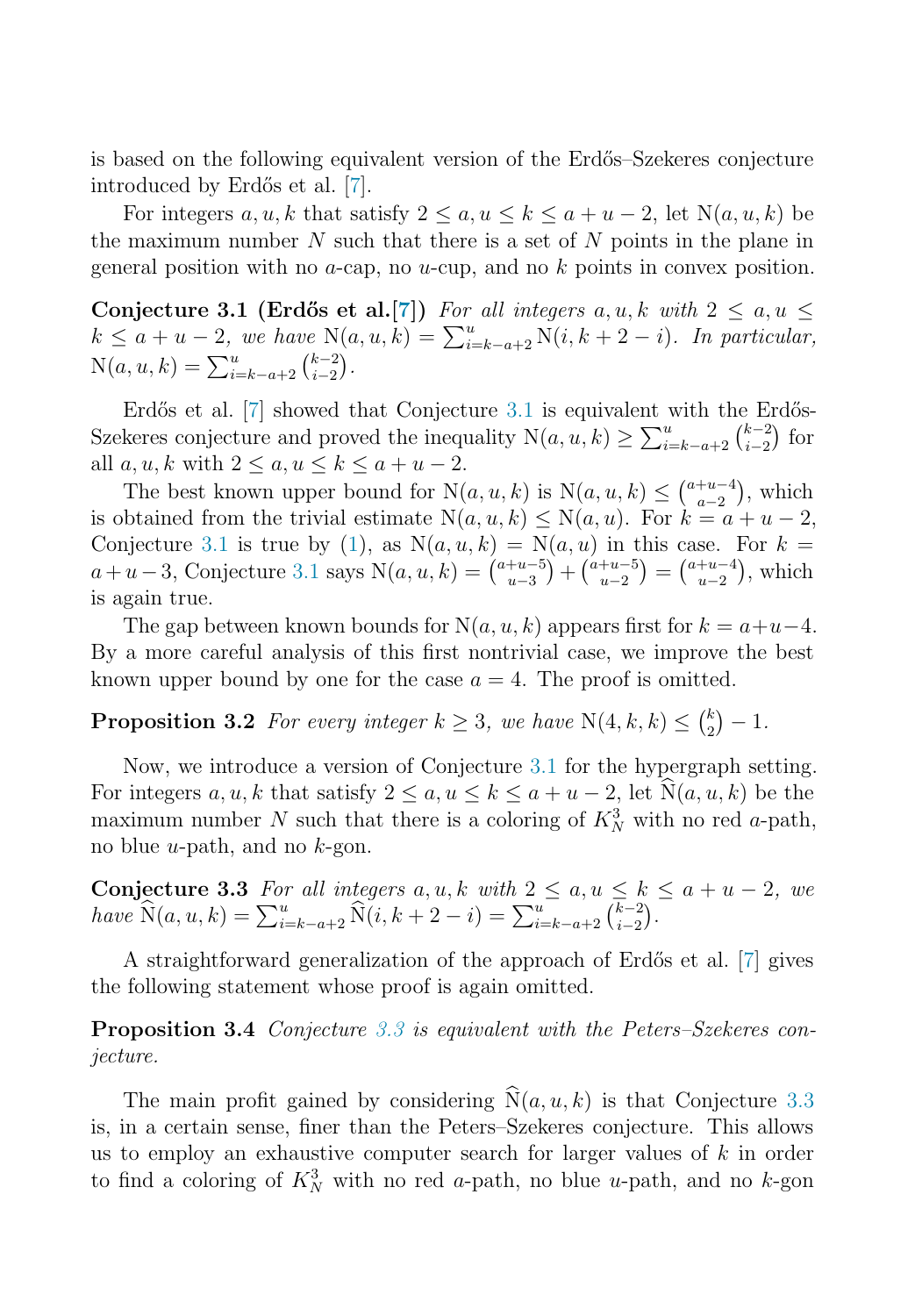<span id="page-3-0"></span>is based on the following equivalent version of the Erdős–Szekeres conjecture introduced by Erdős et al. [\[7\]](#page-6-3).

For integers  $a, u, k$  that satisfy  $2 \le a, u \le k \le a + u - 2$ , let  $N(a, u, k)$  be the maximum number  $N$  such that there is a set of  $N$  points in the plane in general position with no  $a$ -cap, no  $u$ -cup, and no  $k$  points in convex position.

Conjecture 3.1 (Erdős et al.[\[7\]](#page-6-3)) For all integers  $a, u, k$  with  $2 \le a, u \le$  $k \leq a + u - 2$ , we have  $N(a, u, k) = \sum_{i=k-a+2}^{u} N(i, k+2-i)$ . In particular,  $N(a, u, k) = \sum_{i=k-a+2}^{u} {k-2 \choose i-2}.$ 

Erdős et al.  $[7]$  showed that Conjecture [3.1](#page-3-0) is equivalent with the Erdős-Szekeres conjecture and proved the inequality  $N(a, u, k) \ge \sum_{i=k-a+2}^{u} {k-2 \choose i-2}$  for all  $a, u, k$  with  $2 \le a, u \le k \le a + u - 2$ .

The best known upper bound for  $N(a, u, k)$  is  $N(a, u, k) \leq {a+u-4 \choose a-2}$ , which is obtained from the trivial estimate  $N(a, u, k) \le N(a, u)$ . For  $k = a + u - 2$ , Conjecture [3.1](#page-3-0) is true by [\(1\)](#page-1-0), as  $N(a, u, k) = N(a, u)$  in this case. For  $k =$  $a+u-3$ , Conjecture [3.1](#page-3-0) says  $N(a, u, k) = {a+u-5 \choose u-3} + {a+u-5 \choose u-2} = {a+u-4 \choose u-2}$ , which is again true.

The gap between known bounds for  $N(a, u, k)$  appears first for  $k = a+u-4$ . By a more careful analysis of this first nontrivial case, we improve the best known upper bound by one for the case  $a = 4$ . The proof is omitted.

**Proposition 3.2** For every integer  $k \geq 3$ , we have  $N(4, k, k) \leq {k \choose 2} - 1$ .

<span id="page-3-1"></span>Now, we introduce a version of Conjecture [3.1](#page-3-0) for the hypergraph setting. For integers  $a, u, k$  that satisfy  $2 \le a, u \le k \le a + u - 2$ , let  $\hat{N}(a, u, k)$  be the maximum number N such that there is a coloring of  $K_N^3$  with no red a-path, no blue *u*-path, and no  $k$ -gon.

<span id="page-3-2"></span>**Conjecture 3.3** For all integers  $a, u, k$  with  $2 \le a, u \le k \le a + u - 2$ , we have  $\widehat{N}(a, u, k) = \sum_{i=k-a+2}^{u} \widehat{N}(i, k+2-i) = \sum_{i=k-a+2}^{u} \overline{\binom{k-2}{i-2}}$ .

A straightforward generalization of the approach of Erdős et al. [\[7\]](#page-6-3) gives the following statement whose proof is again omitted.

Proposition 3.4 Conjecture [3.3](#page-3-1) is equivalent with the Peters–Szekeres conjecture.

The main profit gained by considering  $\widehat{N}(a, u, k)$  is that Conjecture [3.3](#page-3-1) is, in a certain sense, finer than the Peters–Szekeres conjecture. This allows us to employ an exhaustive computer search for larger values of  $k$  in order to find a coloring of  $K_N^3$  with no red a-path, no blue u-path, and no k-gon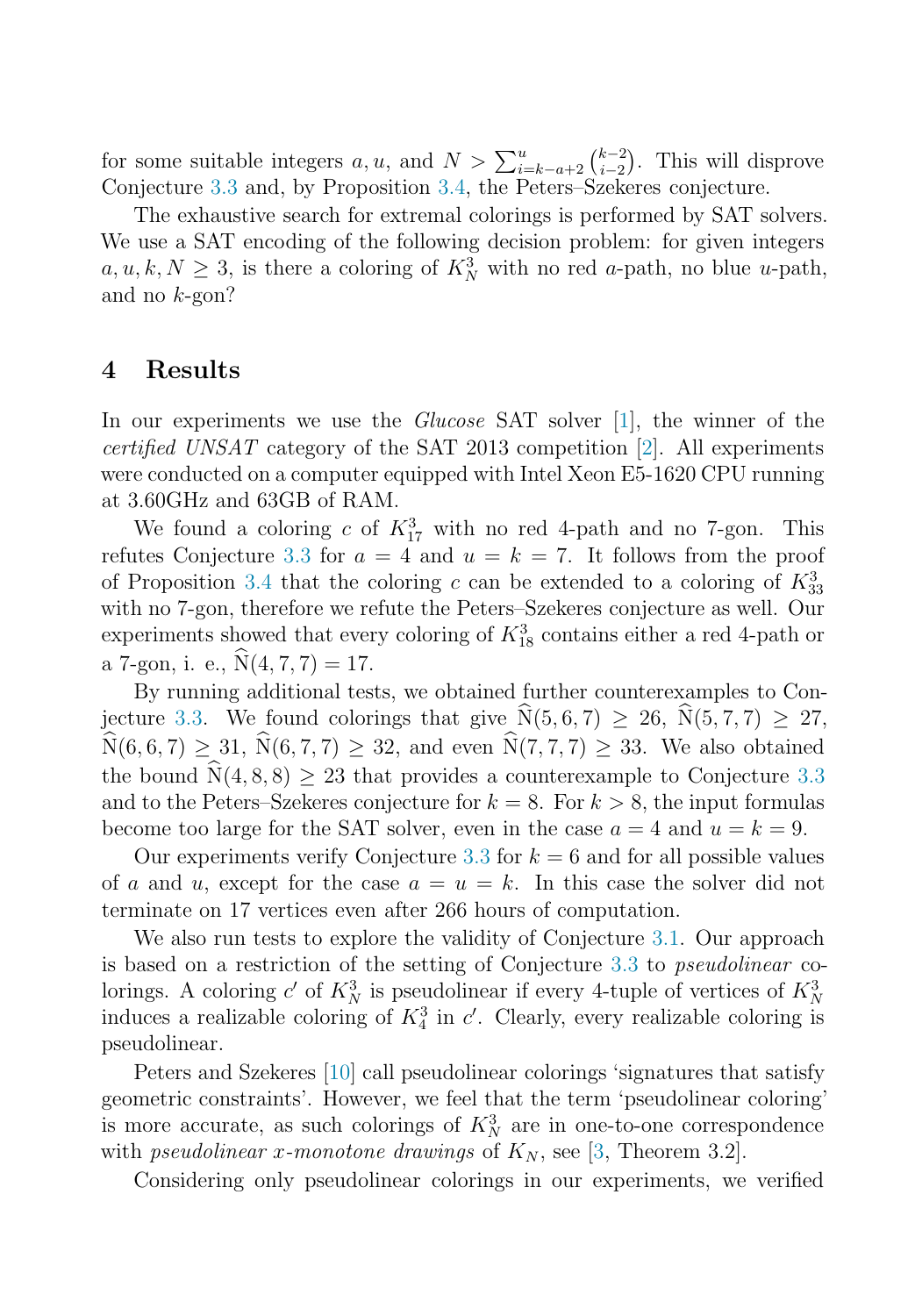for some suitable integers  $a, u$ , and  $N > \sum_{i=k-a+2}^{u} {k-2 \choose i-2}$ . This will disprove Conjecture [3.3](#page-3-1) and, by Proposition [3.4,](#page-3-2) the Peters–Szekeres conjecture.

The exhaustive search for extremal colorings is performed by SAT solvers. We use a SAT encoding of the following decision problem: for given integers  $a, u, k, N \geq 3$ , is there a coloring of  $K_N^3$  with no red a-path, no blue u-path, and no k-gon?

## 4 Results

In our experiments we use the *Glucose* SAT solver [\[1\]](#page-5-0), the winner of the certified UNSAT category of the SAT 2013 competition [\[2\]](#page-5-1). All experiments were conducted on a computer equipped with Intel Xeon E5-1620 CPU running at 3.60GHz and 63GB of RAM.

We found a coloring c of  $K_{17}^3$  with no red 4-path and no 7-gon. This refutes Conjecture [3.3](#page-3-1) for  $a = 4$  and  $u = k = 7$ . It follows from the proof of Proposition [3.4](#page-3-2) that the coloring c can be extended to a coloring of  $K_{33}^3$ with no 7-gon, therefore we refute the Peters–Szekeres conjecture as well. Our experiments showed that every coloring of  $K_{18}^3$  contains either a red 4-path or a 7-gon, i. e.,  $\hat{N}(4, 7, 7) = 17$ .

By running additional tests, we obtained further counterexamples to Con-jecture [3.3.](#page-3-1) We found colorings that give  $\widehat{N}(5, 6, 7) \ge 26$ ,  $\widehat{N}(5, 7, 7) \ge 27$ ,  $\widehat{N}(6, 6, 7) \ge 31, \widehat{N}(6, 7, 7) \ge 32, \text{ and even } \widehat{N}(7, 7, 7) \ge 33.$  We also obtained the bound  $\hat{N}(4, 8, 8) > 23$  that provides a counterexample to Conjecture [3.3](#page-3-1) and to the Peters–Szekeres conjecture for  $k = 8$ . For  $k > 8$ , the input formulas become too large for the SAT solver, even in the case  $a = 4$  and  $u = k = 9$ .

Our experiments verify Conjecture [3.3](#page-3-1) for  $k = 6$  and for all possible values of a and u, except for the case  $a = u = k$ . In this case the solver did not terminate on 17 vertices even after 266 hours of computation.

We also run tests to explore the validity of Conjecture [3.1.](#page-3-0) Our approach is based on a restriction of the setting of Conjecture [3.3](#page-3-1) to pseudolinear colorings. A coloring c' of  $K_N^3$  is pseudolinear if every 4-tuple of vertices of  $K_N^3$ induces a realizable coloring of  $K_4^3$  in  $c'$ . Clearly, every realizable coloring is pseudolinear.

Peters and Szekeres [\[10\]](#page-6-2) call pseudolinear colorings 'signatures that satisfy geometric constraints'. However, we feel that the term 'pseudolinear coloring' is more accurate, as such colorings of  $K_N^3$  are in one-to-one correspondence with *pseudolinear x-monotone drawings* of  $K_N$ , see [\[3,](#page-6-5) Theorem 3.2].

Considering only pseudolinear colorings in our experiments, we verified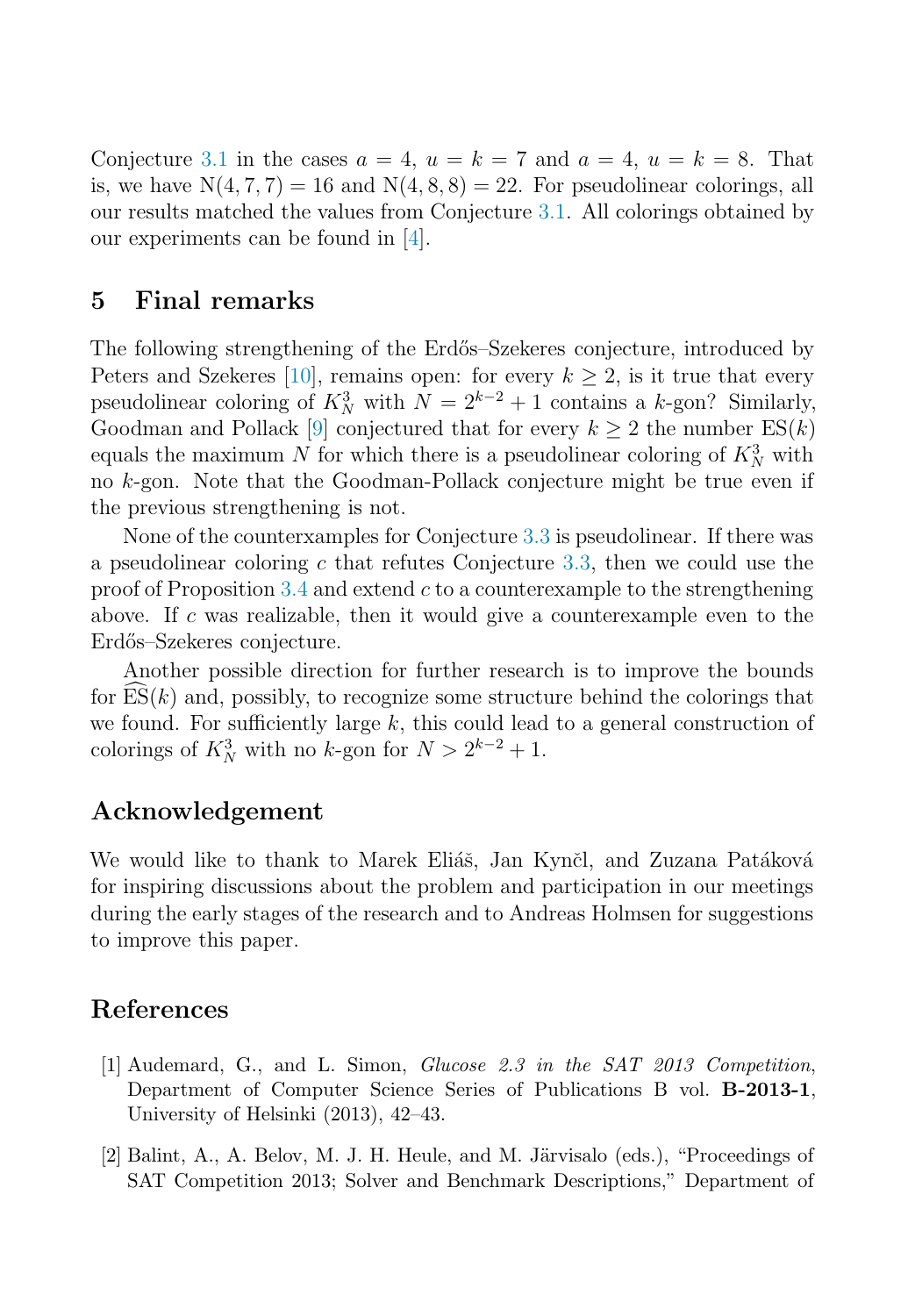Conjecture [3.1](#page-3-0) in the cases  $a = 4$ ,  $u = k = 7$  and  $a = 4$ ,  $u = k = 8$ . That is, we have  $N(4, 7, 7) = 16$  and  $N(4, 8, 8) = 22$ . For pseudolinear colorings, all our results matched the values from Conjecture [3.1.](#page-3-0) All colorings obtained by our experiments can be found in [\[4\]](#page-6-6).

#### 5 Final remarks

The following strengthening of the Erdős–Szekeres conjecture, introduced by Peters and Szekeres [\[10\]](#page-6-2), remains open: for every  $k \geq 2$ , is it true that every pseudolinear coloring of  $K_N^3$  with  $N = 2^{k-2} + 1$  contains a k-gon? Similarly, Goodman and Pollack [\[9\]](#page-6-7) conjectured that for every  $k \geq 2$  the number  $ES(k)$ equals the maximum N for which there is a pseudolinear coloring of  $K_N^3$  with no k-gon. Note that the Goodman-Pollack conjecture might be true even if the previous strengthening is not.

None of the counterxamples for Conjecture [3.3](#page-3-1) is pseudolinear. If there was a pseudolinear coloring c that refutes Conjecture [3.3,](#page-3-1) then we could use the proof of Proposition [3.4](#page-3-2) and extend  $c$  to a counterexample to the strengthening above. If c was realizable, then it would give a counterexample even to the Erdős–Szekeres conjecture.

Another possible direction for further research is to improve the bounds for  $ES(k)$  and, possibly, to recognize some structure behind the colorings that we found. For sufficiently large k, this could lead to a general construction of colorings of  $K_N^3$  with no k-gon for  $N > 2^{k-2} + 1$ .

## Acknowledgement

We would like to thank to Marek Eliáš, Jan Kynčl, and Zuzana Patáková for inspiring discussions about the problem and participation in our meetings during the early stages of the research and to Andreas Holmsen for suggestions to improve this paper.

#### <span id="page-5-0"></span>References

- <span id="page-5-1"></span>[1] Audemard, G., and L. Simon, Glucose 2.3 in the SAT 2013 Competition, Department of Computer Science Series of Publications B vol. B-2013-1, University of Helsinki (2013), 42–43.
- $[2]$  Balint, A., A. Belov, M. J. H. Heule, and M. Järvisalo (eds.), "Proceedings of SAT Competition 2013; Solver and Benchmark Descriptions," Department of